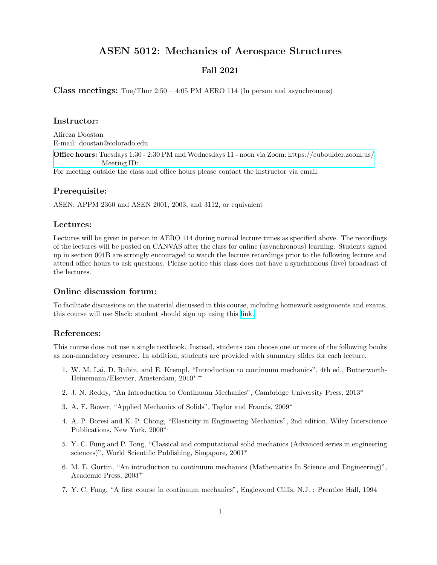# ASEN 5012: Mechanics of Aerospace Structures

# Fall 2021

**Class meetings:** Tue/Thur  $2:50 - 4:05$  PM AERO 114 (In person and asynchronous)

## Instructor:

Alireza Doostan E-mail: doostan@colorado.edu Office hours: Tuesdays 1:30 - 2:30 PM and Wednesdays 11 - noon via Zoom: [https://cuboulder.zoom.us/](https://cuboulder.zoom.us/j/91509053876) Meeting ID: For meeting outside the class and office hours please contact the instructor via email.

#### Prerequisite:

ASEN: APPM 2360 and ASEN 2001, 2003, and 3112, or equivalent

#### Lectures:

Lectures will be given in person in AERO 114 during normal lecture times as specified above. The recordings of the lectures will be posted on CANVAS after the class for online (asynchronous) learning. Students signed up in section 001B are strongly encouraged to watch the lecture recordings prior to the following lecture and attend office hours to ask questions. Please notice this class does not have a synchronous (live) broadcast of the lectures.

## Online discussion forum:

To facilitate discussions on the material discussed in this course, including homework assignments and exams, this course will use Slack; student should sign up using this [link.](https://join.slack.com/t/slack-vko1078/shared_invite/zt-uk0nydzm-raTKUSinHe1GoZWPrIK8mg)

#### References:

This course does not use a single textbook. Instead, students can choose one or more of the following books as non-mandatory resource. In addition, students are provided with summary slides for each lecture.

- 1. W. M. Lai, D. Rubin, and E. Krempl, "Introduction to continuum mechanics", 4th ed., Butterworth-Heinemann/Elsevier, Amsterdam, 2010<sup>∗</sup>,<sup>+</sup>
- 2. J. N. Reddy, "An Introduction to Continuum Mechanics", Cambridge University Press, 2013\*
- 3. A. F. Bower, "Applied Mechanics of Solids", Taylor and Francis, 2009\*
- 4. A. P. Boresi and K. P. Chong, "Elasticity in Engineering Mechanics", 2nd edition, Wiley Interscience Publications, New York, 2000<sup>∗</sup>,<sup>+</sup>
- 5. Y. C. Fung and P. Tong, "Classical and computational solid mechanics (Advanced series in engineering sciences)", World Scientific Publishing, Singapore, 2001\*
- 6. M. E. Gurtin, "An introduction to continuum mechanics (Mathematics In Science and Engineering)", Academic Press, 2003<sup>+</sup>
- 7. Y. C. Fung, "A first course in continuum mechanics", Englewood Cliffs, N.J. : Prentice Hall, 1994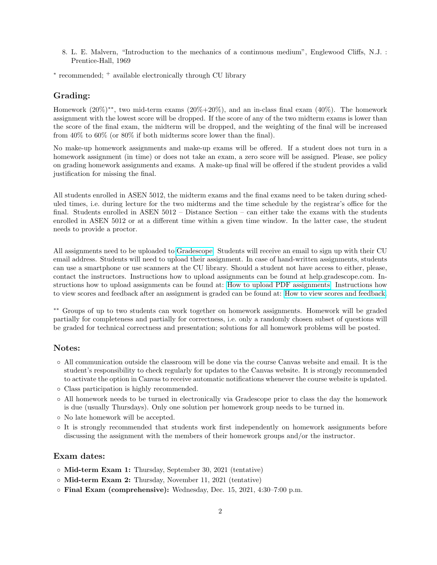8. L. E. Malvern, "Introduction to the mechanics of a continuous medium", Englewood Cliffs, N.J. : Prentice-Hall, 1969

∗ recommended; <sup>+</sup> available electronically through CU library

## Grading:

Homework (20%)∗∗, two mid-term exams (20%+20%), and an in-class final exam (40%). The homework assignment with the lowest score will be dropped. If the score of any of the two midterm exams is lower than the score of the final exam, the midterm will be dropped, and the weighting of the final will be increased from 40% to 60% (or 80% if both midterms score lower than the final).

No make-up homework assignments and make-up exams will be offered. If a student does not turn in a homework assignment (in time) or does not take an exam, a zero score will be assigned. Please, see policy on grading homework assignments and exams. A make-up final will be offered if the student provides a valid justification for missing the final.

All students enrolled in ASEN 5012, the midterm exams and the final exams need to be taken during scheduled times, i.e. during lecture for the two midterms and the time schedule by the registrar's office for the final. Students enrolled in ASEN 5012 – Distance Section – can either take the exams with the students enrolled in ASEN 5012 or at a different time within a given time window. In the latter case, the student needs to provide a proctor.

All assignments need to be uploaded to [Gradescope.](https://www.gradescope.com/) Students will receive an email to sign up with their CU email address. Students will need to upload their assignment. In case of hand-written assignments, students can use a smartphone or use scanners at the CU library. Should a student not have access to either, please, contact the instructors. Instructions how to upload assignments can be found at help.gradescope.com. Instructions how to upload assignments can be found at: [How to upload PDF assignments.](https://www.youtube.com/watch?v=KMPoby5g_nE) Instructions how to view scores and feedback after an assignment is graded can be found at: [How to view scores and feedback.](https://www.youtube.com/watch?time_continue=2&v=TOHCkI12mh0)

∗∗ Groups of up to two students can work together on homework assignments. Homework will be graded partially for completeness and partially for correctness, i.e. only a randomly chosen subset of questions will be graded for technical correctness and presentation; solutions for all homework problems will be posted.

## Notes:

- All communication outside the classroom will be done via the course Canvas website and email. It is the student's responsibility to check regularly for updates to the Canvas website. It is strongly recommended to activate the option in Canvas to receive automatic notifications whenever the course website is updated.
- Class participation is highly recommended.
- All homework needs to be turned in electronically via Gradescope prior to class the day the homework is due (usually Thursdays). Only one solution per homework group needs to be turned in.
- No late homework will be accepted.
- It is strongly recommended that students work first independently on homework assignments before discussing the assignment with the members of their homework groups and/or the instructor.

# Exam dates:

- Mid-term Exam 1: Thursday, September 30, 2021 (tentative)
- Mid-term Exam 2: Thursday, November 11, 2021 (tentative)
- Final Exam (comprehensive): Wednesday, Dec. 15, 2021, 4:30–7:00 p.m.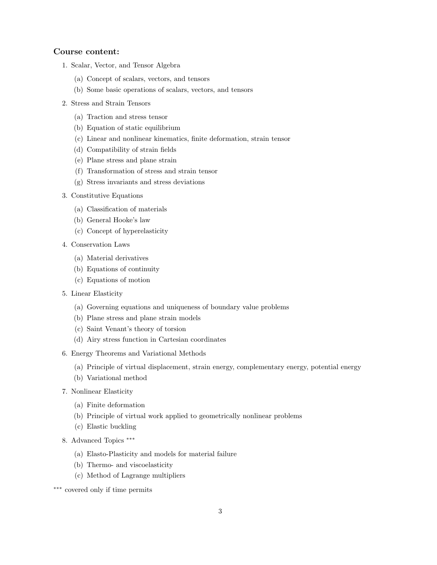#### Course content:

- 1. Scalar, Vector, and Tensor Algebra
	- (a) Concept of scalars, vectors, and tensors
	- (b) Some basic operations of scalars, vectors, and tensors
- 2. Stress and Strain Tensors
	- (a) Traction and stress tensor
	- (b) Equation of static equilibrium
	- (c) Linear and nonlinear kinematics, finite deformation, strain tensor
	- (d) Compatibility of strain fields
	- (e) Plane stress and plane strain
	- (f) Transformation of stress and strain tensor
	- (g) Stress invariants and stress deviations
- 3. Constitutive Equations
	- (a) Classification of materials
	- (b) General Hooke's law
	- (c) Concept of hyperelasticity
- 4. Conservation Laws
	- (a) Material derivatives
	- (b) Equations of continuity
	- (c) Equations of motion
- 5. Linear Elasticity
	- (a) Governing equations and uniqueness of boundary value problems
	- (b) Plane stress and plane strain models
	- (c) Saint Venant's theory of torsion
	- (d) Airy stress function in Cartesian coordinates
- 6. Energy Theorems and Variational Methods
	- (a) Principle of virtual displacement, strain energy, complementary energy, potential energy
	- (b) Variational method
- 7. Nonlinear Elasticity
	- (a) Finite deformation
	- (b) Principle of virtual work applied to geometrically nonlinear problems
	- (c) Elastic buckling
- 8. Advanced Topics <sup>\*\*\*</sup>
	- (a) Elasto-Plasticity and models for material failure
	- (b) Thermo- and viscoelasticity
	- (c) Method of Lagrange multipliers
- ∗∗∗ covered only if time permits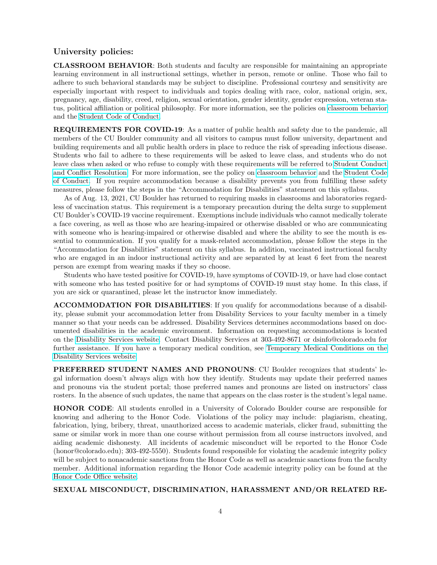## University policies:

CLASSROOM BEHAVIOR: Both students and faculty are responsible for maintaining an appropriate learning environment in all instructional settings, whether in person, remote or online. Those who fail to adhere to such behavioral standards may be subject to discipline. Professional courtesy and sensitivity are especially important with respect to individuals and topics dealing with race, color, national origin, sex, pregnancy, age, disability, creed, religion, sexual orientation, gender identity, gender expression, veteran status, political affiliation or political philosophy. For more information, see the policies on [classroom behavior](http://www.colorado.edu/policies/student-classroom-and-course-related-behavior) and the [Student Code of Conduct.](https://www.colorado.edu/sccr/student-conduct)

REQUIREMENTS FOR COVID-19: As a matter of public health and safety due to the pandemic, all members of the CU Boulder community and all visitors to campus must follow university, department and building requirements and all public health orders in place to reduce the risk of spreading infectious disease. Students who fail to adhere to these requirements will be asked to leave class, and students who do not leave class when asked or who refuse to comply with these requirements will be referred to [Student Conduct](https://www.colorado.edu/sccr/) [and Conflict Resolution.](https://www.colorado.edu/sccr/) For more information, see the policy on [classroom behavior](https://www.colorado.edu/policies/student-classroom-course-related-behavior) and the [Student Code](https://www.colorado.edu/sccr/) [of Conduct.](https://www.colorado.edu/sccr/) If you require accommodation because a disability prevents you from fulfilling these safety measures, please follow the steps in the "Accommodation for Disabilities" statement on this syllabus.

As of Aug. 13, 2021, CU Boulder has returned to requiring masks in classrooms and laboratories regardless of vaccination status. This requirement is a temporary precaution during the delta surge to supplement CU Boulder's COVID-19 vaccine requirement. Exemptions include individuals who cannot medically tolerate a face covering, as well as those who are hearing-impaired or otherwise disabled or who are communicating with someone who is hearing-impaired or otherwise disabled and where the ability to see the mouth is essential to communication. If you qualify for a mask-related accommodation, please follow the steps in the "Accommodation for Disabilities" statement on this syllabus. In addition, vaccinated instructional faculty who are engaged in an indoor instructional activity and are separated by at least 6 feet from the nearest person are exempt from wearing masks if they so choose.

Students who have tested positive for COVID-19, have symptoms of COVID-19, or have had close contact with someone who has tested positive for or had symptoms of COVID-19 must stay home. In this class, if you are sick or quarantined, please let the instructor know immediately.

ACCOMMODATION FOR DISABILITIES: If you qualify for accommodations because of a disability, please submit your accommodation letter from Disability Services to your faculty member in a timely manner so that your needs can be addressed. Disability Services determines accommodations based on documented disabilities in the academic environment. Information on requesting accommodations is located on the [Disability Services website.](https://www.colorado.edu/disabilityservices/) Contact Disability Services at 303-492-8671 or dsinfo@colorado.edu for further assistance. If you have a temporary medical condition, see [Temporary Medical Conditions on the](http://www.colorado.edu/disabilityservices/students/temporary-medical-conditions) [Disability Services website.](http://www.colorado.edu/disabilityservices/students/temporary-medical-conditions)

PREFERRED STUDENT NAMES AND PRONOUNS: CU Boulder recognizes that students' legal information doesn't always align with how they identify. Students may update their preferred names and pronouns via the student portal; those preferred names and pronouns are listed on instructors' class rosters. In the absence of such updates, the name that appears on the class roster is the student's legal name.

HONOR CODE: All students enrolled in a University of Colorado Boulder course are responsible for knowing and adhering to the Honor Code. Violations of the policy may include: plagiarism, cheating, fabrication, lying, bribery, threat, unauthorized access to academic materials, clicker fraud, submitting the same or similar work in more than one course without permission from all course instructors involved, and aiding academic dishonesty. All incidents of academic misconduct will be reported to the Honor Code (honor@colorado.edu); 303-492-5550). Students found responsible for violating the academic integrity policy will be subject to nonacademic sanctions from the Honor Code as well as academic sanctions from the faculty member. Additional information regarding the Honor Code academic integrity policy can be found at the [Honor Code Office website.](https://www.colorado.edu/osccr/honor-code)

## SEXUAL MISCONDUCT, DISCRIMINATION, HARASSMENT AND/OR RELATED RE-